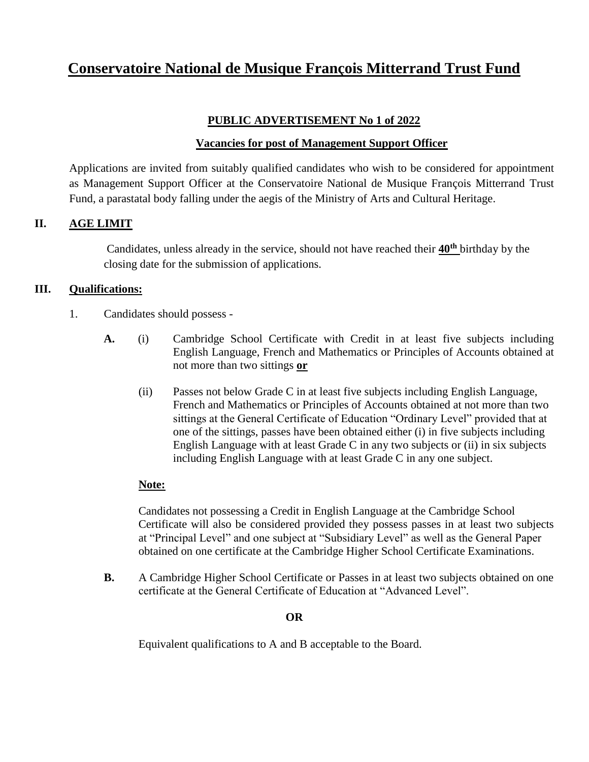# **Conservatoire National de Musique François Mitterrand Trust Fund**

### **PUBLIC ADVERTISEMENT No 1 of 2022**

### **Vacancies for post of Management Support Officer**

Applications are invited from suitably qualified candidates who wish to be considered for appointment as Management Support Officer at the Conservatoire National de Musique François Mitterrand Trust Fund, a parastatal body falling under the aegis of the Ministry of Arts and Cultural Heritage.

### **II. AGE LIMIT**

Candidates, unless already in the service, should not have reached their **40th** birthday by the closing date for the submission of applications.

#### **III. Qualifications:**

- 1. Candidates should possess
	- **A.** (i) Cambridge School Certificate with Credit in at least five subjects including English Language, French and Mathematics or Principles of Accounts obtained at not more than two sittings **or**
		- (ii) Passes not below Grade C in at least five subjects including English Language, French and Mathematics or Principles of Accounts obtained at not more than two sittings at the General Certificate of Education "Ordinary Level" provided that at one of the sittings, passes have been obtained either (i) in five subjects including English Language with at least Grade C in any two subjects or (ii) in six subjects including English Language with at least Grade C in any one subject.

#### **Note:**

Candidates not possessing a Credit in English Language at the Cambridge School Certificate will also be considered provided they possess passes in at least two subjects at "Principal Level" and one subject at "Subsidiary Level" as well as the General Paper obtained on one certificate at the Cambridge Higher School Certificate Examinations.

**B.** A Cambridge Higher School Certificate or Passes in at least two subjects obtained on one certificate at the General Certificate of Education at "Advanced Level".

### **OR**

Equivalent qualifications to A and B acceptable to the Board.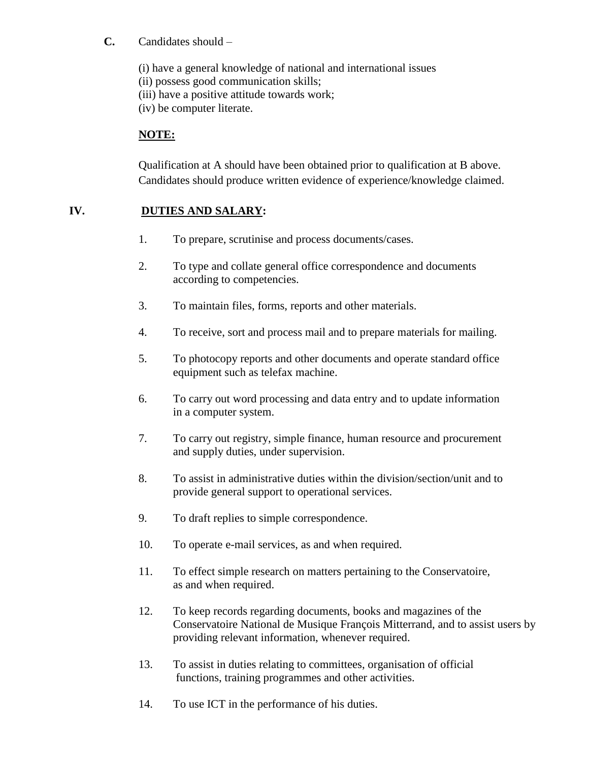### **C.** Candidates should –

(i) have a general knowledge of national and international issues

(ii) possess good communication skills;

(iii) have a positive attitude towards work;

(iv) be computer literate.

## **NOTE:**

Qualification at A should have been obtained prior to qualification at B above. Candidates should produce written evidence of experience/knowledge claimed.

## **IV. DUTIES AND SALARY:**

- 1. To prepare, scrutinise and process documents/cases.
- 2. To type and collate general office correspondence and documents according to competencies.
- 3. To maintain files, forms, reports and other materials.
- 4. To receive, sort and process mail and to prepare materials for mailing.
- 5. To photocopy reports and other documents and operate standard office equipment such as telefax machine.
- 6. To carry out word processing and data entry and to update information in a computer system.
- 7. To carry out registry, simple finance, human resource and procurement and supply duties, under supervision.
- 8. To assist in administrative duties within the division/section/unit and to provide general support to operational services.
- 9. To draft replies to simple correspondence.
- 10. To operate e-mail services, as and when required.
- 11. To effect simple research on matters pertaining to the Conservatoire, as and when required.
- 12. To keep records regarding documents, books and magazines of the Conservatoire National de Musique François Mitterrand, and to assist users by providing relevant information, whenever required.
- 13. To assist in duties relating to committees, organisation of official functions, training programmes and other activities.
- 14. To use ICT in the performance of his duties.